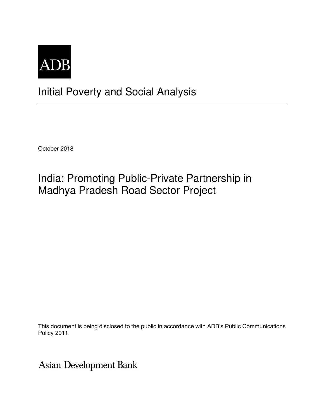

## Initial Poverty and Social Analysis

October 2018

## India: Promoting Public-Private Partnership in Madhya Pradesh Road Sector Project

This document is being disclosed to the public in accordance with ADB's Public Communications Policy 2011.

**Asian Development Bank**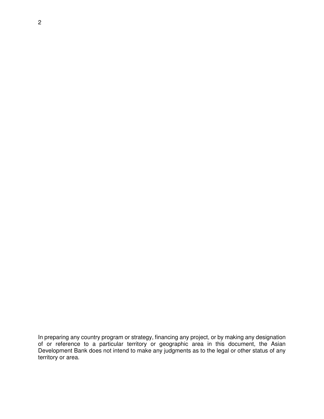In preparing any country program or strategy, financing any project, or by making any designation of or reference to a particular territory or geographic area in this document, the Asian Development Bank does not intend to make any judgments as to the legal or other status of any territory or area.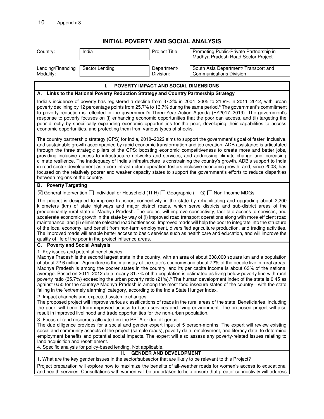## **INITIAL POVERTY AND SOCIAL ANALYSIS**

| INITIAL FUVENTT AND SUCIAL ANALTSIS                                                                                                                                                                                                                                                                                                                                                                                                                                                                                                                                                                                                                                                                                                                                                                                                                                                                                                                                |                |                          |                                                                               |  |
|--------------------------------------------------------------------------------------------------------------------------------------------------------------------------------------------------------------------------------------------------------------------------------------------------------------------------------------------------------------------------------------------------------------------------------------------------------------------------------------------------------------------------------------------------------------------------------------------------------------------------------------------------------------------------------------------------------------------------------------------------------------------------------------------------------------------------------------------------------------------------------------------------------------------------------------------------------------------|----------------|--------------------------|-------------------------------------------------------------------------------|--|
| Country:                                                                                                                                                                                                                                                                                                                                                                                                                                                                                                                                                                                                                                                                                                                                                                                                                                                                                                                                                           | India          | Project Title:           | Promoting Public-Private Partnership in<br>Madhya Pradesh Road Sector Project |  |
| Lending/Financing<br>Modality:                                                                                                                                                                                                                                                                                                                                                                                                                                                                                                                                                                                                                                                                                                                                                                                                                                                                                                                                     | Sector Lending | Department/<br>Division: | South Asia Department/ Transport and<br><b>Communications Division</b>        |  |
| POVERTY IMPACT AND SOCIAL DIMENSIONS<br>ı.                                                                                                                                                                                                                                                                                                                                                                                                                                                                                                                                                                                                                                                                                                                                                                                                                                                                                                                         |                |                          |                                                                               |  |
| A. Links to the National Poverty Reduction Strategy and Country Partnership Strategy                                                                                                                                                                                                                                                                                                                                                                                                                                                                                                                                                                                                                                                                                                                                                                                                                                                                               |                |                          |                                                                               |  |
| India's incidence of poverty has registered a decline from 37.2% in 2004–2005 to 21.9% in 2011–2012, with urban<br>poverty declining by 12 percentage points from 25.7% to 13.7% during the same period. <sup>a</sup> The government's commitment<br>to poverty reduction is reflected in the government's Three-Year Action Agenda (FY2017-2019). The government's<br>response to poverty focuses on (i) enhancing economic opportunities that the poor can access, and (ii) targeting the<br>poor directly by specifically expanding economic opportunities for the poor, developing their capabilities to access<br>economic opportunities, and protecting them from various types of shocks.                                                                                                                                                                                                                                                                   |                |                          |                                                                               |  |
| The country partnership strategy (CPS) for India, 2018–2022 aims to support the government's goal of faster, inclusive,<br>and sustainable growth accompanied by rapid economic transformation and job creation. ADB assistance is articulated<br>through the three strategic pillars of the CPS: boosting economic competitiveness to create more and better jobs,<br>providing inclusive access to infrastructure networks and services, and addressing climate change and increasing<br>climate resilience. The inadequacy of India's infrastructure is constraining the country's growth. ADB's support to India<br>in road sector development as a core infrastructure operation fosters inclusive economic growth, and, since 2003, has<br>focused on the relatively poorer and weaker capacity states to support the government's efforts to reduce disparities<br>between regions of the country.                                                          |                |                          |                                                                               |  |
| <b>B.</b> Poverty Targeting                                                                                                                                                                                                                                                                                                                                                                                                                                                                                                                                                                                                                                                                                                                                                                                                                                                                                                                                        |                |                          |                                                                               |  |
| $\boxtimes$ General Intervention $\Box$ Individual or Household (TI-H) $\Box$ Geographic (TI-G) $\Box$ Non-Income MDGs                                                                                                                                                                                                                                                                                                                                                                                                                                                                                                                                                                                                                                                                                                                                                                                                                                             |                |                          |                                                                               |  |
| The project is designed to improve transport connectivity in the state by rehabilitating and upgrading about 2,200<br>kilometers (km) of state highways and major district roads, which serve districts and sub-district areas of the<br>predominantly rural state of Madhya Pradesh. The project will improve connectivity, facilitate access to services, and<br>accelerate economic growth in the state by way of (i) improved road transport operations along with more efficient road<br>maintenance, and (ii) eliminate selected road bottlenecks. Improved roads will help the poor to integrate into the structure<br>of the local economy, and benefit from non-farm employment, diversified agriculture production, and trading activities.<br>The improved roads will enable better access to basic services such as health care and education, and will improve the<br>quality of life of the poor in the project influence areas.                     |                |                          |                                                                               |  |
| C. Poverty and Social Analysis                                                                                                                                                                                                                                                                                                                                                                                                                                                                                                                                                                                                                                                                                                                                                                                                                                                                                                                                     |                |                          |                                                                               |  |
| 1. Key issues and potential beneficiaries.<br>Madhya Pradesh is the second largest state in the country, with an area of about 308,000 square km and a population<br>of about 72.6 million. Agriculture is the mainstay of the state's economy and about 72% of the people live in rural areas.<br>Madhya Pradesh is among the poorer states in the country, and its per capita income is about 63% of the national<br>average. Based on 2011-2012 data, nearly 31.7% of the population is estimated as living below poverty line with rural<br>poverty ratio (35.7%) exceeding the urban poverty ratio (21%). <sup>b</sup> The human development index of the state is 0.45 as<br>against 0.50 for the country. <sup>c</sup> Madhya Pradesh is among the most food insecure states of the country—with the state<br>falling in the 'extremely alarming' category, according to the India State Hunger Index.<br>2. Impact channels and expected systemic changes. |                |                          |                                                                               |  |
| The proposed project will improve various classifications of roads in the rural areas of the state. Beneficiaries, including<br>the poor, will benefit from improved access to basic services and living environment. The proposed project will also<br>result in improved livelihood and trade opportunities for the non-urban population.                                                                                                                                                                                                                                                                                                                                                                                                                                                                                                                                                                                                                        |                |                          |                                                                               |  |
| 3. Focus of (and resources allocated in) the PPTA or due diligence.<br>The due diligence provides for a social and gender expert input of 5 person-months. The expert will review existing<br>social and community aspects of the project (sample roads), poverty data, employment, and literacy data, to determine<br>employment benefits and potential social impacts. The expert will also assess any poverty-related issues relating to<br>land acquisition and resettlement.                                                                                                                                                                                                                                                                                                                                                                                                                                                                                  |                |                          |                                                                               |  |
| 4. Specific analysis for policy-based lending. Not applicable.                                                                                                                                                                                                                                                                                                                                                                                                                                                                                                                                                                                                                                                                                                                                                                                                                                                                                                     |                |                          |                                                                               |  |
| <b>GENDER AND DEVELOPMENT</b><br>Ш.<br>1. What are the key gender issues in the sector/subsector that are likely to be relevant to this Project?                                                                                                                                                                                                                                                                                                                                                                                                                                                                                                                                                                                                                                                                                                                                                                                                                   |                |                          |                                                                               |  |
| Project preparation will explore how to maximize the benefits of all-weather roads for women's access to educational<br>and health services. Consultations with women will be undertaken to help ensure that greater connectivity will address                                                                                                                                                                                                                                                                                                                                                                                                                                                                                                                                                                                                                                                                                                                     |                |                          |                                                                               |  |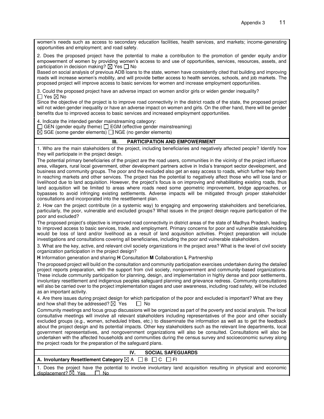women's needs such as access to secondary education facilities, health services, and markets; income-generating opportunities and employment; and road safety.

2. Does the proposed project have the potential to make a contribution to the promotion of gender equity and/or empowerment of women by providing women's access to and use of opportunities, services, resources, assets, and participation in decision making?  $\boxtimes$  Yes  $\Box$  No

Based on social analysis of previous ADB loans to the state, women have consistently cited that building and improving roads will increase women's mobility, and will provide better access to health services, schools, and job markets. The proposed project will improve access to basic services for women and increase employment opportunities.

3. Could the proposed project have an adverse impact on women and/or girls or widen gender inequality?  $\Box$  Yes  $\boxtimes$  No

Since the objective of the project is to improve road connectivity in the district roads of the state, the proposed project will not widen gender inequality or have an adverse impact on women and girls. On the other hand, there will be gender benefits due to improved access to basic services and increased employment opportunities.

4. Indicate the intended gender mainstreaming category:

 $\Box$  GEN (gender equity theme)  $\Box$  EGM (effective gender mainstreaming)

 $\boxtimes$  SGE (some gender elements)  $\Box$  NGE (no gender elements)

## **III. PARTICIPATION AND EMPOWERMENT**

1. Who are the main stakeholders of the project, including beneficiaries and negatively affected people? Identify how they will participate in the project design.

The potential primary beneficiaries of the project are the road users, communities in the vicinity of the project influence area, villagers, rural local government, other development partners active in India's transport sector development, and business and community groups. The poor and the excluded also get an easy access to roads, which further help them in reaching markets and other services. The project has the potential to negatively affect those who will lose land or livelihood due to land acquisition. However, the project's focus is on improving and rehabilitating existing roads, thus land acquisition will be limited to areas where roads need some geometric improvement, bridge approaches, or bypasses to avoid infringing existing settlements. Adverse impacts will be mitigated through proper stakeholder consultations and incorporated into the resettlement plan.

2. How can the project contribute (in a systemic way) to engaging and empowering stakeholders and beneficiaries, particularly, the poor, vulnerable and excluded groups? What issues in the project design require participation of the poor and excluded?

The proposed project's objective is improved road connectivity in district areas of the state of Madhya Pradesh, leading to improved access to basic services, trade, and employment. Primary concerns for poor and vulnerable stakeholders would be loss of land and/or livelihood as a result of land acquisition activities. Project preparation will include investigations and consultations covering all beneficiaries, including the poor and vulnerable stakeholders.

3. What are the key, active, and relevant civil society organizations in the project area? What is the level of civil society organization participation in the project design?

**H** Information generation and sharing **H** Consultation **M** Collaboration **L** Partnership

The proposed project will build on the consultation and community participation exercises undertaken during the detailed project reports preparation, with the support from civil society, nongovernment and community-based organizations. These include community participation for planning, design, and implementation in highly dense and poor settlements, involuntary resettlement and indigenous peoples safeguard planning and grievance redress. Community consultations will also be carried over to the project implementation stages and user awareness, including road safety, will be included as an important activity.

4. Are there issues during project design for which participation of the poor and excluded is important? What are they and how shall they be addressed?  $\boxtimes$  Yes  $\Box$  No

Community meetings and focus group discussions will be organized as part of the poverty and social analysis. The local consultative meetings will involve all relevant stakeholders including representatives of the poor and other socially excluded groups (e.g., women, scheduled tribes, etc.) to disseminate the information as well as to get the feedback about the project design and its potential impacts. Other key stakeholders such as the relevant line departments, local government representatives, and nongovernment organizations will also be consulted. Consultations will also be undertaken with the affected households and communities during the census survey and socioeconomic survey along the project roads for the preparation of the safeguard plans.

| <b>SOCIAL SAFEGUARDS</b>                                                                                                 |
|--------------------------------------------------------------------------------------------------------------------------|
| A. Involuntary Resettlement Category $\boxtimes$ A $\Box$ B $\Box$ C $\Box$ FI                                           |
| $\Box$ Desa the project hous the petertial to involve involuntary land coquisition resulting in physical and cooperation |

1. Does the project have the potential to involve involuntary land acquisition resulting in physical and economic displacement?  $\boxtimes$  Yes  $\Box$  No